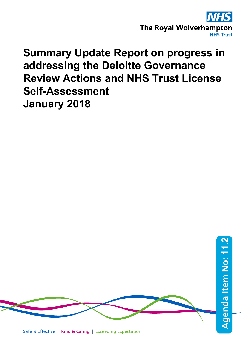

## **Summary Update Report on progress in addressing the Deloitte Governance Review Actions and NHS Trust License Self-Assessment January 2018**



Safe & Effective | Kind & Caring | Exceeding Expectation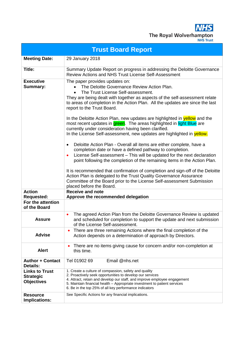**NHS** The Royal Wolverhampton

|                                                                | <b>Trust Board Report</b>                                                                                                                                                                                                                                                                                                                                                                                                                                                                                                                                                                                                                                                                                                                                                                                                                                                                                                                                                                                                                                                                                                                                                                |
|----------------------------------------------------------------|------------------------------------------------------------------------------------------------------------------------------------------------------------------------------------------------------------------------------------------------------------------------------------------------------------------------------------------------------------------------------------------------------------------------------------------------------------------------------------------------------------------------------------------------------------------------------------------------------------------------------------------------------------------------------------------------------------------------------------------------------------------------------------------------------------------------------------------------------------------------------------------------------------------------------------------------------------------------------------------------------------------------------------------------------------------------------------------------------------------------------------------------------------------------------------------|
| <b>Meeting Date:</b>                                           | 29 January 2018                                                                                                                                                                                                                                                                                                                                                                                                                                                                                                                                                                                                                                                                                                                                                                                                                                                                                                                                                                                                                                                                                                                                                                          |
| Title:                                                         | Summary Update Report on progress in addressing the Deloitte Governance<br>Review Actions and NHS Trust License Self-Assessment                                                                                                                                                                                                                                                                                                                                                                                                                                                                                                                                                                                                                                                                                                                                                                                                                                                                                                                                                                                                                                                          |
| <b>Executive</b><br><b>Summary:</b>                            | The paper provides updates on:<br>The Deloitte Governance Review Action Plan.<br>The Trust License Self-assessment.<br>They are being dealt with together as aspects of the self-assessment relate<br>to areas of completion in the Action Plan. All the updates are since the last<br>report to the Trust Board.<br>In the Deloitte Action Plan, new updates are highlighted in <b>yellow</b> and the<br>most recent updates in green. The areas highlighted in light Blue are<br>currently under consideration having been clarified.<br>In the License Self-assessment, new updates are highlighted in yellow.<br>Deloitte Action Plan - Overall all items are either complete, have a<br>$\bullet$<br>completion date or have a defined pathway to completion.<br>License Self-assessment - This will be updated for the next declaration<br>point following the completion of the remaining items in the Action Plan.<br>It is recommended that confirmation of completion and sign-off of the Deloitte<br>Action Plan is delegated to the Trust Quality Governance Assurance<br>Committee of the Board prior to the License Self-assessment Submission<br>placed before the Board. |
| <b>Action</b><br><b>Requested:</b>                             | <b>Receive and note</b><br>Approve the recommended delegation                                                                                                                                                                                                                                                                                                                                                                                                                                                                                                                                                                                                                                                                                                                                                                                                                                                                                                                                                                                                                                                                                                                            |
| For the attention<br>of the Board                              |                                                                                                                                                                                                                                                                                                                                                                                                                                                                                                                                                                                                                                                                                                                                                                                                                                                                                                                                                                                                                                                                                                                                                                                          |
| <b>Assure</b>                                                  | The agreed Action Plan from the Deloitte Governance Review is updated<br>$\bullet$<br>and scheduled for completion to support the update and next submission<br>of the License Self-assessment.                                                                                                                                                                                                                                                                                                                                                                                                                                                                                                                                                                                                                                                                                                                                                                                                                                                                                                                                                                                          |
| <b>Advise</b>                                                  | There are three remaining Actions where the final completion of the<br>Action depends on a determination of approach by Directors.                                                                                                                                                                                                                                                                                                                                                                                                                                                                                                                                                                                                                                                                                                                                                                                                                                                                                                                                                                                                                                                       |
| <b>Alert</b>                                                   | There are no items giving cause for concern and/or non-completion at<br>this time.                                                                                                                                                                                                                                                                                                                                                                                                                                                                                                                                                                                                                                                                                                                                                                                                                                                                                                                                                                                                                                                                                                       |
| <b>Author + Contact</b><br><b>Details:</b>                     | Email @nhs.net<br>Tel 01902 69                                                                                                                                                                                                                                                                                                                                                                                                                                                                                                                                                                                                                                                                                                                                                                                                                                                                                                                                                                                                                                                                                                                                                           |
| <b>Links to Trust</b><br><b>Strategic</b><br><b>Objectives</b> | 1. Create a culture of compassion, safety and quality<br>2. Proactively seek opportunities to develop our services<br>4. Attract, retain and develop our staff, and improve employee engagement<br>5. Maintain financial health - Appropriate investment to patient services<br>6. Be in the top 25% of all key performance indicators                                                                                                                                                                                                                                                                                                                                                                                                                                                                                                                                                                                                                                                                                                                                                                                                                                                   |
| <b>Resource</b><br>Implications:                               | See Specific Actions for any financial implications.                                                                                                                                                                                                                                                                                                                                                                                                                                                                                                                                                                                                                                                                                                                                                                                                                                                                                                                                                                                                                                                                                                                                     |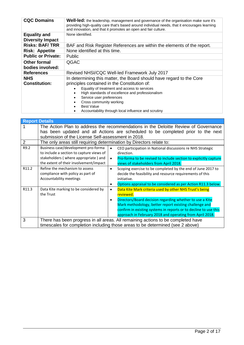| <b>CQC Domains</b>                             | <b>Well-led:</b> the leadership, management and governance of the organisation make sure it's<br>providing high-quality care that's based around individual needs, that it encourages learning<br>and innovation, and that it promotes an open and fair culture.                                                                                            |
|------------------------------------------------|-------------------------------------------------------------------------------------------------------------------------------------------------------------------------------------------------------------------------------------------------------------------------------------------------------------------------------------------------------------|
| <b>Equality and</b><br><b>Diversity Impact</b> | None identified.                                                                                                                                                                                                                                                                                                                                            |
| <b>Risks: BAF/TRR</b>                          | BAF and Risk Register References are within the elements of the report.                                                                                                                                                                                                                                                                                     |
| <b>Risk: Appetite</b>                          | None identified at this time.                                                                                                                                                                                                                                                                                                                               |
| <b>Public or Private:</b>                      | <b>Public</b>                                                                                                                                                                                                                                                                                                                                               |
| <b>Other formal</b><br>bodies involved:        | QGAC                                                                                                                                                                                                                                                                                                                                                        |
| <b>References</b>                              | Revised NHSI/CQC Well-led Framework July 2017                                                                                                                                                                                                                                                                                                               |
| <b>NHS</b><br><b>Constitution:</b>             | In determining this matter, the Board should have regard to the Core<br>principles contained in the Constitution of:<br>Equality of treatment and access to services<br>High standards of excellence and professionalism<br>Service user preferences<br>Cross community working<br><b>Best Value</b><br>Accountability through local influence and scrutiny |

|                | <b>Report Details</b>                                                                                                                                                                                                         |           |                                                                                                                                                                                                                                                    |  |  |  |  |  |
|----------------|-------------------------------------------------------------------------------------------------------------------------------------------------------------------------------------------------------------------------------|-----------|----------------------------------------------------------------------------------------------------------------------------------------------------------------------------------------------------------------------------------------------------|--|--|--|--|--|
|                | The Action Plan to address the recommendations in the Deloitte Review of Governance<br>has been updated and all Actions are scheduled to be completed prior to the next<br>submission of the License Self-assessment in 2018. |           |                                                                                                                                                                                                                                                    |  |  |  |  |  |
| $\overline{2}$ | The only areas still requiring determination by Directors relate to:                                                                                                                                                          |           |                                                                                                                                                                                                                                                    |  |  |  |  |  |
| R9.2           | Business case/development pro-forma<br>to include a section to capture views of                                                                                                                                               |           | CEO participation in National discussions re NHS Strategic<br>direction.                                                                                                                                                                           |  |  |  |  |  |
|                | stakeholders (where appropriate) and<br>the extent of their involvement/impact                                                                                                                                                | $\bullet$ | Pro-forma to be revised to include section to explicitly capture<br>views of stakeholders from April 2018.                                                                                                                                         |  |  |  |  |  |
| R11.2          | Refine the mechanism to assess<br>compliance with policy as part of<br>Accountability meetings                                                                                                                                | $\bullet$ | Scoping exercise to be completed by the end of June 2017 to<br>decide the feasibility and resource requirements of this<br>initiative.                                                                                                             |  |  |  |  |  |
|                |                                                                                                                                                                                                                               |           | Options appraisal to be considered as per Action R11.3 below.                                                                                                                                                                                      |  |  |  |  |  |
| R11.3          | Data Kite marking to be considered by<br>the Trust                                                                                                                                                                            | $\bullet$ | Data Kite Mark criteria used by other NHS Trust's being<br>reviewed.                                                                                                                                                                               |  |  |  |  |  |
|                |                                                                                                                                                                                                                               | $\bullet$ | Directors/Board decision regarding whether to use a Kite<br>Mark methodology, better report existing challenge and<br>confirm in existing systems in reports or to decline to use this<br>approach in February 2018 and operating from April 2018. |  |  |  |  |  |
| 3              |                                                                                                                                                                                                                               |           | There has been progress in all areas. All remaining actions to be completed have                                                                                                                                                                   |  |  |  |  |  |
|                |                                                                                                                                                                                                                               |           | timescales for completion including those areas to be determined (see 2 above)                                                                                                                                                                     |  |  |  |  |  |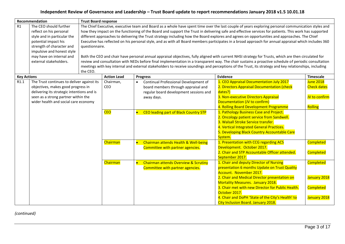## **Independent Review of Governance and Leadership – Trust Board update to report recommendations January 2018 v1.5 10.01.18**

|                    | Recommendation                                                                                                                                                                                                            | <b>Trust Board response</b> |                                                                                                                                                                                                                                                                                                                                                                                                                                                                                                                                                                                                                                                                                                                                                                                                                                                                                                                                                                                                                                                                                                                 |                                                                                                                                                   |                                                                                                                                                                                                                                                                                                                                                                             |                                                                      |  |  |  |  |  |
|--------------------|---------------------------------------------------------------------------------------------------------------------------------------------------------------------------------------------------------------------------|-----------------------------|-----------------------------------------------------------------------------------------------------------------------------------------------------------------------------------------------------------------------------------------------------------------------------------------------------------------------------------------------------------------------------------------------------------------------------------------------------------------------------------------------------------------------------------------------------------------------------------------------------------------------------------------------------------------------------------------------------------------------------------------------------------------------------------------------------------------------------------------------------------------------------------------------------------------------------------------------------------------------------------------------------------------------------------------------------------------------------------------------------------------|---------------------------------------------------------------------------------------------------------------------------------------------------|-----------------------------------------------------------------------------------------------------------------------------------------------------------------------------------------------------------------------------------------------------------------------------------------------------------------------------------------------------------------------------|----------------------------------------------------------------------|--|--|--|--|--|
| R1                 | The CEO should further<br>reflect on his personal<br>style and in particular the<br>potential impact his<br>strength of character and<br>impulsive and honest style<br>may have on internal and<br>external stakeholders. | the CEO.                    | The Chief Executive, executive team and Board as a whole have spent time over the last couple of years exploring personal communication styles and<br>how they impact on the functioning of the Board and support the Trust in delivering safe and effective services for patients. This work has supported<br>different approaches to delivering the Trust strategy including how the Board explores and agrees on opportunities and approaches. The Chief<br>Executive has reflected on his personal style, and as with all Board members participates in a broad approach for annual appraisal which includes 360<br>questionnaire.<br>Both the CEO and chair have personal annual appraisal objectives, fully aligned with current NHSI strategy for Trusts, which are then circulated for<br>review and consultation with NEDs before final implementation in a transparent way. The chair sustains a proactive schedule of periodic consultation<br>meetings with key internal and external stakeholders to receive soundings and perceptions of the Trust, its strategy and key relationships, including |                                                                                                                                                   |                                                                                                                                                                                                                                                                                                                                                                             |                                                                      |  |  |  |  |  |
| <b>Key Actions</b> |                                                                                                                                                                                                                           |                             | <b>Action Lead</b>                                                                                                                                                                                                                                                                                                                                                                                                                                                                                                                                                                                                                                                                                                                                                                                                                                                                                                                                                                                                                                                                                              | <b>Progress</b>                                                                                                                                   | Evidence                                                                                                                                                                                                                                                                                                                                                                    | <b>Timescale</b>                                                     |  |  |  |  |  |
|                    | R1.1<br>The Trust continues to deliver against its<br>objectives, makes good progress in<br>delivering its strategic intentions and is<br>seen as a strong partner within the<br>wider health and social care economy     |                             | Chairman,<br>CEO                                                                                                                                                                                                                                                                                                                                                                                                                                                                                                                                                                                                                                                                                                                                                                                                                                                                                                                                                                                                                                                                                                | Continual Professional Development of<br>$\bullet$<br>board members through appraisal and<br>regular board development sessions and<br>away days. | 1. CEO Appraisal Documentation July 2017<br>2. Directors Appraisal Documentation (check<br>dates?)<br>3. Non-executive Directors Appraisal<br>Documentation (JV to confirm)<br>4. Rolling Board Development Programme                                                                                                                                                       | June 2018<br><b>Check dates</b><br>JV to confirm<br>Rolling          |  |  |  |  |  |
|                    |                                                                                                                                                                                                                           |                             | <b>CEO</b>                                                                                                                                                                                                                                                                                                                                                                                                                                                                                                                                                                                                                                                                                                                                                                                                                                                                                                                                                                                                                                                                                                      | CEO leading part of Black Country STP                                                                                                             | 1. Pathology Business Case and Project.<br>2. Oncology patient service from Sandwell.<br>3. Walsall Stroke Service transfer.<br>4. Vertical Integrated General Practices.<br>5. Developing Black Country Accountable Care<br>System.                                                                                                                                        |                                                                      |  |  |  |  |  |
|                    |                                                                                                                                                                                                                           | <b>Chairman</b>             |                                                                                                                                                                                                                                                                                                                                                                                                                                                                                                                                                                                                                                                                                                                                                                                                                                                                                                                                                                                                                                                                                                                 | Chairman attends Health & Well-being<br>$\bullet$<br>Committee with partner agencies.                                                             | 1. Presentation with CCG regarding ACS<br>Development. October 2017.<br>2. Chair and STP Accountable Officer attended.<br>September 2017.                                                                                                                                                                                                                                   | Completed<br><b>Completed</b>                                        |  |  |  |  |  |
|                    |                                                                                                                                                                                                                           |                             | Chairman                                                                                                                                                                                                                                                                                                                                                                                                                                                                                                                                                                                                                                                                                                                                                                                                                                                                                                                                                                                                                                                                                                        | <b>Chairman attends Overview &amp; Scrutiny</b><br>$\bullet$<br>Committee with partner agencies.                                                  | 1. Chair and deputy Director of Nursing<br>presentation 6 months Update on Trust Quality<br>Account. November 2017.<br>2. Chair and Medical Director presentation on<br>Mortality Measures. January 2018.<br>3. Chair met with new Director for Public Health.<br>October 2017.<br>4. Chair and DoPH 'State of the City's Health' to<br>City Inclusion Board. January 2018. | <b>Completed</b><br>January 2018<br><b>Completed</b><br>January 2018 |  |  |  |  |  |

*(continued)*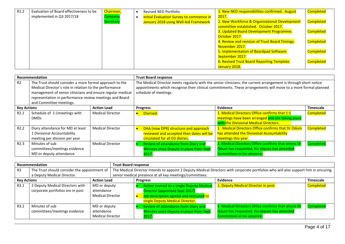| R <sub>1.2</sub> | Evaluation of Board effectiveness to be | Chairman, | Revised NED Portfolio                    | 1. New NED responsibilities confirmed. August  | <b>Completed</b> |
|------------------|-----------------------------------------|-----------|------------------------------------------|------------------------------------------------|------------------|
|                  | implemented in Q3 2017/18               | Company   | Initial Evaluation Survey to commence in | 2017.                                          |                  |
|                  |                                         | Secretary | January 2018 using Well-led Framework    | 2. New Workforce & Organisational Development  | <b>Completed</b> |
|                  |                                         |           |                                          | committee established. October 2017.           |                  |
|                  |                                         |           |                                          | 3. Updated Board Development Programme.        | <b>Completed</b> |
|                  |                                         |           |                                          | October 2017.                                  |                  |
|                  |                                         |           |                                          | 4. Review and revision of Trust Board Timings. | <b>Completed</b> |
|                  |                                         |           |                                          | November 2017.                                 |                  |
|                  |                                         |           |                                          | 5. Implementation of Boardpad Software.        | Completed        |
|                  |                                         |           |                                          | September 2017.                                |                  |
|                  |                                         |           |                                          | 6. Revised Trust Board Reporting Template.     | Completed        |
|                  |                                         |           |                                          | January 2018.                                  |                  |

|                                                                                                                                                                                                                                                                                         | Recommendation                                                                                   |                         | <b>Trust Board response</b>                                                                                                                                                                                                                                 |                                                                                                                                             |                  |  |  |
|-----------------------------------------------------------------------------------------------------------------------------------------------------------------------------------------------------------------------------------------------------------------------------------------|--------------------------------------------------------------------------------------------------|-------------------------|-------------------------------------------------------------------------------------------------------------------------------------------------------------------------------------------------------------------------------------------------------------|---------------------------------------------------------------------------------------------------------------------------------------------|------------------|--|--|
| R <sub>2</sub><br>The Trust should consider a more formal approach to the<br>Medical Director's role in relation to the performance<br>management of senior clinicians and ensure regular medical<br>representation in performance review meetings and Board<br>and Committee meetings. |                                                                                                  |                         | The Medical Director meets regularly with the senior clinicians; the current arrangement is through short notice<br>appointments which recognise their clinical commitments. These arrangements will move to a more formal planned<br>schedule of meetings. |                                                                                                                                             |                  |  |  |
| <b>Key Actions</b>                                                                                                                                                                                                                                                                      |                                                                                                  | <b>Action Lead</b>      | <b>Progress</b>                                                                                                                                                                                                                                             | <b>Evidence</b>                                                                                                                             | <b>Timescale</b> |  |  |
| R <sub>2.1</sub>                                                                                                                                                                                                                                                                        | Schedule of 1:1meetings with<br><b>DMDs</b>                                                      | <b>Medical Director</b> | Diarised.                                                                                                                                                                                                                                                   | 1. Medical Directors Office confirms that 1:1<br>meetings have been arranged and are taking place<br>with the Divisional Medical Directors. | <b>Completed</b> |  |  |
| R2.2                                                                                                                                                                                                                                                                                    | Diary attendance for MD at least<br>1 Divisional Accountability<br>meeting per division per year | <b>Medical Director</b> | DAA (now DPR) structure and approach<br>reviewed and accepted then dates will be<br>circulated for all ED diaries.                                                                                                                                          | 1. Medical Directors Office confirms that Dr Odum<br>has attended the Divisional Accountability<br>meetings this year.                      | <b>Completed</b> |  |  |
| R2.3                                                                                                                                                                                                                                                                                    | Minutes of sub<br>committees/meetings evidence<br>MD or deputy attendance                        | <b>Medical Director</b> | Review of attendance from Diary and<br>Minutes since Deputy in place from Sept<br>2017.                                                                                                                                                                     | 1. Medical Directors Office confirms that where Dr<br>Odum has requested, his deputy has attended<br>Committees in his absence.             | Completed        |  |  |

|                    | Recommendation                                                      |                                                       |  | <b>Trust Board response</b>                                                                                                        |                                                                                                                                                                  |                                                                                                                                 |                  |  |
|--------------------|---------------------------------------------------------------------|-------------------------------------------------------|--|------------------------------------------------------------------------------------------------------------------------------------|------------------------------------------------------------------------------------------------------------------------------------------------------------------|---------------------------------------------------------------------------------------------------------------------------------|------------------|--|
| R <sub>3</sub>     | The Trust should consider the appointment of                        |                                                       |  | The Medical Director Intends to appoint 2 Deputy Medical Directors with corporate portfolios who will also support him in ensuring |                                                                                                                                                                  |                                                                                                                                 |                  |  |
|                    | a Deputy Medical Director.                                          |                                                       |  |                                                                                                                                    | senior medical presence at all key meetings/committees.                                                                                                          |                                                                                                                                 |                  |  |
| <b>Key Actions</b> |                                                                     | <b>Action Lead</b>                                    |  | <b>Progress</b>                                                                                                                    |                                                                                                                                                                  | Evidence                                                                                                                        | <b>Timescale</b> |  |
| R3.1               | 2 Deputy Medical Directors with<br>corporate portfolios are in post | MD or deputy<br>attendance<br><b>Medical Director</b> |  |                                                                                                                                    | <b>Action revised to a single Deputy Medical</b><br>Director (appointed Sept 2017)<br>Job description agreed and recruited to<br>single Deputy Medical Director. | 1. Deputy Medical Director in post.                                                                                             | <b>Completed</b> |  |
| R3.2               | Minutes of sub<br>committees/meetings evidence                      | MD or deputy<br>attendance<br><b>Medical Director</b> |  | 2017                                                                                                                               | Review of attendance from Diary and<br>Minutes since Deputy in place from Sept                                                                                   | 1. Medical Directors Office confirms that where Dr<br>Odum has requested, his deputy has attended<br>Committees in his absence. | <b>Completed</b> |  |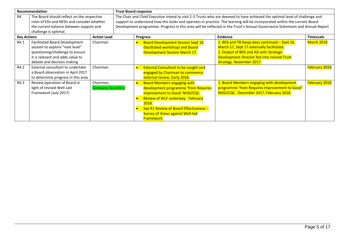|                    | Recommendation                                                                                                                                                               |                                       | <b>Trust Board response</b>                                                                                                                                                                                                                                                                                                                                                             |           |                                                                                                                                                                                                                                                              |                                                                                                                                                                                                                       |                      |  |
|--------------------|------------------------------------------------------------------------------------------------------------------------------------------------------------------------------|---------------------------------------|-----------------------------------------------------------------------------------------------------------------------------------------------------------------------------------------------------------------------------------------------------------------------------------------------------------------------------------------------------------------------------------------|-----------|--------------------------------------------------------------------------------------------------------------------------------------------------------------------------------------------------------------------------------------------------------------|-----------------------------------------------------------------------------------------------------------------------------------------------------------------------------------------------------------------------|----------------------|--|
| R <sub>4</sub>     | The Board should reflect on the respective<br>roles of EDs and NEDs and consider whether<br>the current balance between support and<br>challenge is optimal.                 |                                       | The Chair and Chief Executive intend to visit 2-3 Trusts who are deemed to have achieved the optimal level of challenge and<br>support to understand how this looks and operates in practice. The learning will be incorporated within the current Board<br>Development programme. Progress in this area will be reflected in the Trust's Annual Governance Statement and Annual Report |           |                                                                                                                                                                                                                                                              |                                                                                                                                                                                                                       |                      |  |
| <b>Key Actions</b> |                                                                                                                                                                              | <b>Action Lead</b>                    |                                                                                                                                                                                                                                                                                                                                                                                         |           | <b>Progress</b>                                                                                                                                                                                                                                              | Evidence                                                                                                                                                                                                              | <b>Timescale</b>     |  |
| R4.1               | <b>Facilitated Board Development</b><br>session to explore "next level"<br>questioning/challenge to ensure<br>it is relevant and adds value to<br>debate and decision making | Chairman                              |                                                                                                                                                                                                                                                                                                                                                                                         |           | <b>Board Development Session Sept 16</b><br>(facilitated workshop) and Board<br><b>Development Session March 17.</b>                                                                                                                                         | 1. BDS and TB Away-days continued - Sept 16,<br>March 17, Sept 17 externally facilitated.<br>2. Output of BDS and AD with Strategic<br>Development Director fed into revised Trust<br><b>Strategy. November 2017.</b> | March 2018           |  |
| R4.2               | External consultant to undertake<br>a Board observation in April 2017<br>to determine progress in this area                                                                  | Chairman                              |                                                                                                                                                                                                                                                                                                                                                                                         |           | <b>External Consultant to be sought and</b><br>engaged by Chairman to commence<br>external review. Early 2018.                                                                                                                                               |                                                                                                                                                                                                                       | <b>February 2018</b> |  |
| R4.3               | Review operation of Board in<br>light of revised Well-Led<br>Framework (July 2017)                                                                                           | Chairman,<br><b>Company Secretary</b> |                                                                                                                                                                                                                                                                                                                                                                                         | $\bullet$ | <b>Board Members engaging with</b><br>development programme 'from Requires<br>Improvement to Good' NHSI/CQC.<br>Review of WLF underway. February<br>2018.<br>See R1 Review of Board Effectiveness -<br><b>Survey of Views against Well-led</b><br>Framework. | 1. Board Members engaging with development<br>programme 'from Requires Improvement to Good'<br>NHSI/CQC. December 2017, February 2018.                                                                                | <b>February 2018</b> |  |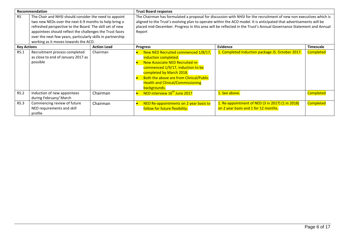|                    | Recommendation                                                                                                                                                                                                                                                                                                                                 |                    | <b>Trust Board response</b>                                                                                                                                                                                                                                                                                                                                               |                                                                                          |                  |  |
|--------------------|------------------------------------------------------------------------------------------------------------------------------------------------------------------------------------------------------------------------------------------------------------------------------------------------------------------------------------------------|--------------------|---------------------------------------------------------------------------------------------------------------------------------------------------------------------------------------------------------------------------------------------------------------------------------------------------------------------------------------------------------------------------|------------------------------------------------------------------------------------------|------------------|--|
| R <sub>5</sub>     | The Chair and NHSI should consider the need to appoint<br>two new NEDs over the next 6-9 months to help bring a<br>refreshed perspective to the Board. The skill set of new<br>appointees should reflect the challenges the Trust faces<br>over the next few years, particularly skills in partnership<br>working as it moves towards the ACO. |                    | The Chairman has formulated a proposal for discussion with NHSI for the recruitment of new non executives which is<br>aligned to the Trust's evolving plan to operate within the ACO model. It is anticipated that advertisements will be<br>placed mid-December. Progress in this area will be reflected in the Trust's Annual Governance Statement and Annual<br>Report |                                                                                          |                  |  |
| <b>Key Actions</b> |                                                                                                                                                                                                                                                                                                                                                | <b>Action Lead</b> | <b>Progress</b>                                                                                                                                                                                                                                                                                                                                                           | <b>Evidence</b>                                                                          | <b>Timescale</b> |  |
| R5.1               | Recruitment process completed<br>as close to end of January 2017 as<br>possible                                                                                                                                                                                                                                                                | Chairman           | New NED Recruited commenced 1/8/17,<br>induction completed.<br>New Associate NED Recruited re-<br>commenced 1/9/17, induction to be<br>completed by March 2018.<br>Both the above are from Clinical/Public<br><b>Health and Clinical/Commissioning</b><br>backgrounds.                                                                                                    | 1. Completed Induction package JS. October 2017.                                         | <b>Completed</b> |  |
| R5.2               | Induction of new appointees<br>during February/ March                                                                                                                                                                                                                                                                                          | Chairman           | NED interview 16 <sup>th</sup> June 2017                                                                                                                                                                                                                                                                                                                                  | 1. See above.                                                                            | <b>Completed</b> |  |
| R5.3               | Commencing review of future<br>NED requirements and skill<br>profile                                                                                                                                                                                                                                                                           | Chairman           | NED Re-appointments on 2 year basis to<br>follow for future flexibility.                                                                                                                                                                                                                                                                                                  | 1. Re-appointment of NED (3 in 2017) (1 in 2018)<br>on 2 year basis and 1 for 12 months. | <b>Completed</b> |  |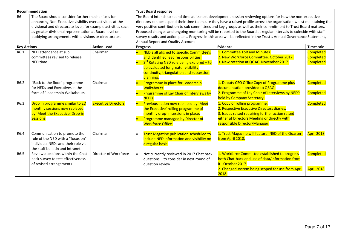| Recommendation     |                                                                                                                                                                                                                                                                                                   | <b>Trust Board response</b> |                                                                                                                                                                                                                                                                                                                                                                                                                                                                                                                                                                                                                                             |                                                                                                                                                                                                                  |                                                          |  |
|--------------------|---------------------------------------------------------------------------------------------------------------------------------------------------------------------------------------------------------------------------------------------------------------------------------------------------|-----------------------------|---------------------------------------------------------------------------------------------------------------------------------------------------------------------------------------------------------------------------------------------------------------------------------------------------------------------------------------------------------------------------------------------------------------------------------------------------------------------------------------------------------------------------------------------------------------------------------------------------------------------------------------------|------------------------------------------------------------------------------------------------------------------------------------------------------------------------------------------------------------------|----------------------------------------------------------|--|
| <b>R6</b>          | The Board should consider further mechanisms for<br>enhancing Non-Executive visibility over activities at the<br>divisional and directorate level, for example activities such<br>as greater divisional representation at Board level or<br>buddying arrangements with divisions or directorates. |                             | The Board intends to spend time at its next development session reviewing options for how the non-executive<br>directors can best spend their time to ensure they have a raised profile across the organisation whilst maintaining the<br>very positive contribution to sub committees and key groups as well as their commitment to Trust Board matters.<br>Proposed changes and ongoing monitoring will be reported to the Board at regular intervals to coincide with staff<br>survey results and action plans. Progress in this area will be reflected in the Trust's Annual Governance Statement,<br>Annual Report and Quality Account |                                                                                                                                                                                                                  |                                                          |  |
| <b>Key Actions</b> |                                                                                                                                                                                                                                                                                                   | <b>Action Lead</b>          | <b>Progress</b>                                                                                                                                                                                                                                                                                                                                                                                                                                                                                                                                                                                                                             | Evidence                                                                                                                                                                                                         | <b>Timescale</b>                                         |  |
| R6.1               | NED attendance at sub<br>committees revised to release<br><b>NED time</b>                                                                                                                                                                                                                         | Chairman                    | NED's all aligned to specific Committee's<br>Ы<br>and identified lead responsibilities.<br>$3rd$ Rotating NED role being explored - to<br>be evaluated for greater visibility,<br>continuity, triangulation and succession<br>planning.                                                                                                                                                                                                                                                                                                                                                                                                     | 1. Committee ToR and Minutes.<br>2. New Workforce Committee. October 2017.<br>3. New rotation at QGAC. November 2017.                                                                                            | <b>Completed</b><br><b>Completed</b><br><b>Completed</b> |  |
| R6.2               | "Back to the floor" programme<br>for NEDs and Executives in the<br>form of "leadership Walkabouts'                                                                                                                                                                                                | Chairman                    | Programme in place for Leadership<br><b>Walkabouts.</b><br>Programme of Lay Chair of Interviews by<br>NED's.                                                                                                                                                                                                                                                                                                                                                                                                                                                                                                                                | 1. Deputy CEO Office Copy of Programme plus<br>documentation provided to QSAG.<br>2. Programme of Lay Chair of Interviews by NED's<br>held by Company Secretary.                                                 | <b>Completed</b><br><b>Completed</b>                     |  |
| R6.3               | Drop in programme similar to ED<br>monthly sessions now replaced<br>by 'Meet the Executive' Drop-in<br><b>Sessions</b>                                                                                                                                                                            | <b>Executive Directors</b>  | Previous action now replaced by 'Meet<br>$\bullet$<br>the Executive' rolling programme of<br>monthly drop-in sessions in place.<br>Programme managed by Director of<br>b<br><b>Workforce Office.</b>                                                                                                                                                                                                                                                                                                                                                                                                                                        | 1. Copy of rolling programme.<br>2. Respective Executive Directors diaries.<br>3. Issues raised requiring further action raised<br>either at Directors Meeting or directly with<br>responsible Director/Manager. | <b>Completed</b>                                         |  |
| R6.4               | Communication to promote the<br>role of the NED with a "focus on"<br>individual NEDs and their role via<br>the staff bulletin and intranet                                                                                                                                                        | Chairman                    | <b>Trust Magazine publication scheduled to</b><br>$\bullet$<br>include NED information and visibility on<br>a regular basis.                                                                                                                                                                                                                                                                                                                                                                                                                                                                                                                | 1. Trust Magazine will feature 'NED of the Quarter'<br>from April 2018.                                                                                                                                          | April 2018                                               |  |
| R6.5               | Review questions within the Chat<br>back survey to test effectiveness<br>of revised arrangements                                                                                                                                                                                                  | Director of Workforce       | Not currently reviewed in 2017 Chat back<br>$\bullet$<br>questions - to consider in next round of<br>question review                                                                                                                                                                                                                                                                                                                                                                                                                                                                                                                        | 1. Workforce Committee established to progress<br>both Chat-back and use of data/information from<br>it. October 2017.<br>2. Changed system being scoped for use from April<br>2018.                             | <b>Completed</b><br>April 2018                           |  |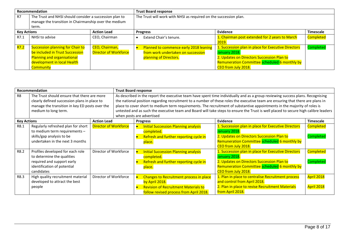| <b>Recommendation</b> |                                                         |                              | <b>Trust Board response</b>                                       |                                                     |                  |  |  |
|-----------------------|---------------------------------------------------------|------------------------------|-------------------------------------------------------------------|-----------------------------------------------------|------------------|--|--|
| R7                    | The Trust and NHSI should consider a succession plan to |                              | The Trust will work with NHSI as required on the succession plan. |                                                     |                  |  |  |
|                       | manage the transition in Chairmanship over the medium   |                              |                                                                   |                                                     |                  |  |  |
|                       | term.                                                   |                              |                                                                   |                                                     |                  |  |  |
| <b>Key Actions</b>    |                                                         | <b>Action Lead</b>           | <b>Progress</b>                                                   | Evidence                                            | <b>Timescale</b> |  |  |
| R7.1                  | NHSI to advise                                          | CEO, Chairman                | Extend Chair's tenure.                                            | 1. Chairman post extended for 2 years to March      | <b>Completed</b> |  |  |
|                       |                                                         |                              |                                                                   | 2019.                                               |                  |  |  |
| <b>R7.2</b>           | Succession planning for Chair to                        | CEO, Chairman,               | Planned to commence early 2018 leaning                            | 1. Succession plan in place for Executive Directors | Completed        |  |  |
|                       | be included in Trust Succession                         | <b>Director of Workforce</b> | from work undertaken on succession                                | January 2018.                                       |                  |  |  |
|                       | Planning and organisational                             |                              | planning of Directors.                                            | 2. Updates on Directors Succession Plan to          |                  |  |  |
|                       | development in local Health                             |                              |                                                                   | Remuneration Committee scheduled 6 monthly by       |                  |  |  |
|                       | Community                                               |                              |                                                                   | CEO from July 2018.                                 |                  |  |  |

| Recommendation     |                                                                                                                                                                       |                              |  | <b>Trust Board response</b>                                                                                                                                                                                                                                                                                                                                                                                                                                                                                                                                       |                                                                                                                                                     |                                                                                                                                                                                            |                               |  |  |
|--------------------|-----------------------------------------------------------------------------------------------------------------------------------------------------------------------|------------------------------|--|-------------------------------------------------------------------------------------------------------------------------------------------------------------------------------------------------------------------------------------------------------------------------------------------------------------------------------------------------------------------------------------------------------------------------------------------------------------------------------------------------------------------------------------------------------------------|-----------------------------------------------------------------------------------------------------------------------------------------------------|--------------------------------------------------------------------------------------------------------------------------------------------------------------------------------------------|-------------------------------|--|--|
| R <sub>8</sub>     | The Trust should ensure that there are more<br>clearly defined succession plans in place to<br>manage the transition in key ED posts over the<br>medium to long term. |                              |  | As described in the report the executive team have spent time individually and as a group reviewing success plans. Recognising<br>the national position regarding recruitment to a number of these roles the executive team are ensuring that there are plans in<br>place to cover short to medium term requirements. The recruitment of substantive appointments in the majority of roles is<br>untested and as such the executive team and Board will take steps to ensure the Trust is well placed to secure high calibre leaders<br>when posts are advertised |                                                                                                                                                     |                                                                                                                                                                                            |                               |  |  |
| <b>Key Actions</b> |                                                                                                                                                                       | <b>Action Lead</b>           |  | <b>Progress</b>                                                                                                                                                                                                                                                                                                                                                                                                                                                                                                                                                   |                                                                                                                                                     | Evidence                                                                                                                                                                                   | <b>Timescale</b>              |  |  |
| R8.1               | Regularly refreshed plan for short<br>to medium term requirements -<br>skills/gap analysis to be<br>undertaken in the next 3 months                                   | <b>Director of Workforce</b> |  |                                                                                                                                                                                                                                                                                                                                                                                                                                                                                                                                                                   | <b>Initial Succession Planning analysis</b><br>completed.<br>Refresh and further reporting cycle in<br>place.                                       | 1. Succession plan in place for Executive Directors<br>January 2018.<br>2. Updates on Directors Succession Plan to<br>Remuneration Committee scheduled 6 monthly by<br>CEO from July 2018. | <b>Completed</b><br>Completed |  |  |
| R8.2               | Profiles developed for each role<br>to determine the qualities<br>required and support early<br>identification of potential<br>candidates                             | Director of Workforce        |  |                                                                                                                                                                                                                                                                                                                                                                                                                                                                                                                                                                   | <b>Initial Succession Planning analysis</b><br>completed.<br>Refresh and further reporting cycle in<br>place.                                       | 1. Succession plan in place for Executive Directors<br>January 2018.<br>2. Updates on Directors Succession Plan to<br>Remuneration Committee scheduled 6 monthly by<br>CEO from July 2018. | <b>Completed</b><br>Completed |  |  |
| R8.3               | High quality recruitment material<br>developed to attract the best<br>people                                                                                          | Director of Workforce        |  |                                                                                                                                                                                                                                                                                                                                                                                                                                                                                                                                                                   | Changes to Recruitment process in place<br>by April 2018.<br><b>Revision of Recruitment Materials to</b><br>follow revised process from April 2018. | 1. Plan in place to centralise Recruitment process<br>and control from April 2018.<br>2. Plan in place to revise Recruitment Materials<br>from April 2018.                                 | April 2018<br>April 2018      |  |  |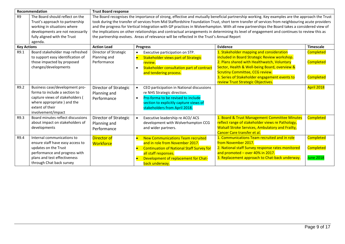| Recommendation     |                                                                 | <b>Trust Board response</b>           |                                                                                                                                              |                                                                                                                                                 |                  |  |  |  |
|--------------------|-----------------------------------------------------------------|---------------------------------------|----------------------------------------------------------------------------------------------------------------------------------------------|-------------------------------------------------------------------------------------------------------------------------------------------------|------------------|--|--|--|
| R <sub>9</sub>     | The Board should reflect on the                                 |                                       |                                                                                                                                              | The Board recognises the importance of strong, effective and mutually beneficial partnership working. Key examples are the approach the Trust   |                  |  |  |  |
|                    | Trust's approach to partnership                                 |                                       |                                                                                                                                              | took during the transfer of services from Mid Staffordshire Foundation Trust, short term transfer of services from neighbouring acute providers |                  |  |  |  |
|                    | working in situations where                                     |                                       | and the progress for Vertical Integration with GP practices in Wolverhampton. With all new partnerships the Board takes a considered view of |                                                                                                                                                 |                  |  |  |  |
|                    | developments are not necessarily                                |                                       | the implications on other relationships and contractual arrangements in determining its level of engagement and continues to review this as  |                                                                                                                                                 |                  |  |  |  |
|                    | fully aligned with the Trust                                    |                                       | the partnership evolves. Areas of relevance will be reflected in the Trust's Annual Report                                                   |                                                                                                                                                 |                  |  |  |  |
|                    | agenda.                                                         |                                       |                                                                                                                                              |                                                                                                                                                 |                  |  |  |  |
| <b>Key Actions</b> |                                                                 | <b>Action Lead</b>                    | <b>Progress</b>                                                                                                                              | Evidence                                                                                                                                        | <b>Timescale</b> |  |  |  |
| R9.1               | Board stakeholder map refreshed                                 | Director of Strategic                 | Executive participation on STP.<br>$\bullet$                                                                                                 | 1. Stakeholder mapping and consideration                                                                                                        | <b>Completed</b> |  |  |  |
|                    | to support easy identification of                               | Planning and                          | <b>Stakeholder views part of Strategic</b><br>$\bullet$                                                                                      | included in Board Strategic Review workshop.                                                                                                    |                  |  |  |  |
|                    | those impacted by proposed                                      | Performance                           | review.                                                                                                                                      | 2. Plans shared with Healthwatch, Voluntary                                                                                                     | <b>Completed</b> |  |  |  |
|                    | changes/developments                                            |                                       | Stakeholder consultation part of contract<br>$\bullet$                                                                                       | Sector, Health & Well-being Board, overview &                                                                                                   |                  |  |  |  |
|                    |                                                                 |                                       | and tendering process.                                                                                                                       | <b>Scrutiny Committee, CCG review.</b>                                                                                                          |                  |  |  |  |
|                    |                                                                 |                                       |                                                                                                                                              | 3. Series of Stakeholder engagement events to                                                                                                   | <b>Completed</b> |  |  |  |
|                    |                                                                 |                                       |                                                                                                                                              | review Trust Strategic Objectives.                                                                                                              |                  |  |  |  |
| R9.2               | Business case/development pro-<br>forma to include a section to | Director of Strategic<br>Planning and | CEO participation in National discussions<br>re NHS Strategic direction.                                                                     |                                                                                                                                                 | April 2018       |  |  |  |
|                    | capture views of stakeholders (                                 | Performance                           | Pro-forma to be revised to include<br>$\bullet$                                                                                              |                                                                                                                                                 |                  |  |  |  |
|                    | where appropriate) and the                                      |                                       | section to explicitly capture views of                                                                                                       |                                                                                                                                                 |                  |  |  |  |
|                    | extent of their                                                 |                                       | stakeholders from April 2018.                                                                                                                |                                                                                                                                                 |                  |  |  |  |
|                    | involvement/impact                                              |                                       |                                                                                                                                              |                                                                                                                                                 |                  |  |  |  |
| R9.3               | Board minutes reflect discussions                               | Director of Strategic                 | Executive leadership re ACO/ ACS<br>$\bullet$                                                                                                | 1. Board & Trust Management Committee Minutes                                                                                                   | <b>Completed</b> |  |  |  |
|                    | about impact on stakeholders of                                 | Planning and                          | development with Wolverhampton CCG                                                                                                           | reflect range of stakeholder views re Pathology,                                                                                                |                  |  |  |  |
|                    | developments                                                    | Performance                           | and wider partners.                                                                                                                          | <b>Walsall Stroke Services, Ambulatory and Frailty,</b>                                                                                         |                  |  |  |  |
|                    |                                                                 |                                       |                                                                                                                                              | Cancer Care transfer et al.                                                                                                                     |                  |  |  |  |
| R9.4               | Internal communications to                                      | <b>Director of</b>                    | <b>New Communications Team recruited</b><br>$\bullet$                                                                                        | 1. Communications Team recruited and in role                                                                                                    | <b>Completed</b> |  |  |  |
|                    | ensure staff have easy access to                                | <b>Workforce</b>                      | and in role from November 2017.                                                                                                              | from November 2017.                                                                                                                             |                  |  |  |  |
|                    | updates on the Trust                                            |                                       | <b>Continuation of National Staff Survey for</b><br>$\bullet$                                                                                | 2. National staff Survey response rates monitored                                                                                               | <b>Completed</b> |  |  |  |
|                    | performance and progress with                                   |                                       | all staff responses.                                                                                                                         | and promoted - over 40% in 2017.                                                                                                                |                  |  |  |  |
|                    | plans and test effectiveness                                    |                                       | Development of replacement for Chat-                                                                                                         | 3. Replacement approach to Chat-back underway.                                                                                                  | <b>June 2018</b> |  |  |  |
|                    | through Chat back survey                                        |                                       | back underway.                                                                                                                               |                                                                                                                                                 |                  |  |  |  |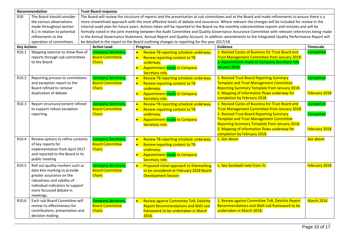|                    | Recommendation                    | <b>Trust Board response</b>                                                                                                                      |                                                                                                                                                 |           |                                                                                            |                                                                                                                                                 |                      |  |
|--------------------|-----------------------------------|--------------------------------------------------------------------------------------------------------------------------------------------------|-------------------------------------------------------------------------------------------------------------------------------------------------|-----------|--------------------------------------------------------------------------------------------|-------------------------------------------------------------------------------------------------------------------------------------------------|----------------------|--|
| R <sub>10</sub>    | The Board should consider         | The Board will review the structure of reports and the presentation at sub committees and at the Board and make refinements to ensure there is a |                                                                                                                                                 |           |                                                                                            |                                                                                                                                                 |                      |  |
|                    | the various observations          |                                                                                                                                                  | more streamlined approach with the most effective levels of debate and assurance. Where relevant the changes will be included for review in the |           |                                                                                            |                                                                                                                                                 |                      |  |
|                    | made throughout section           |                                                                                                                                                  | internal audit plan for future years. Actions taken will be reported to the Board via the monthly subcommittee reports and minutes and will be  |           |                                                                                            |                                                                                                                                                 |                      |  |
|                    | B.1 in relation to potential      |                                                                                                                                                  |                                                                                                                                                 |           |                                                                                            | formally noted in the joint meeting between the Audit Committee and Quality Governance Assurance Committee with relevant references being made  |                      |  |
|                    | refinements to the                |                                                                                                                                                  |                                                                                                                                                 |           |                                                                                            | in the Annual Governance Statement, Annual Report and Quality Account. In addition amendments to the Integrated Quality Performance Report will |                      |  |
|                    | operation of committees.          |                                                                                                                                                  |                                                                                                                                                 |           | be detailed in the report to the Board outlining changes to reporting for the year 2017/18 |                                                                                                                                                 |                      |  |
| <b>Key Actions</b> |                                   |                                                                                                                                                  | <b>Action Lead</b>                                                                                                                              |           | <b>Progress</b>                                                                            | Evidence                                                                                                                                        | Timescale            |  |
| R <sub>10.1</sub>  | Mapping exercise to show flow of  |                                                                                                                                                  | <b>Company Secretary,</b>                                                                                                                       | $\bullet$ | Review TB reporting schedule underway.                                                     | 1. Revised Cycles of Business for Trust Board and                                                                                               | <b>Completed</b>     |  |
|                    | reports through sub committees    |                                                                                                                                                  | <b>Board Committee</b>                                                                                                                          | $\bullet$ | Review reporting content to TB                                                             | Trust Management Committee from January 2018.                                                                                                   |                      |  |
|                    | to the Board                      |                                                                                                                                                  | <b>Chairs</b>                                                                                                                                   |           | underway.                                                                                  | 2. Appointment made to Company Secretary role                                                                                                   |                      |  |
|                    |                                   |                                                                                                                                                  |                                                                                                                                                 | $\bullet$ | <b>Appointment made to Company</b>                                                         | January 2018.                                                                                                                                   |                      |  |
|                    |                                   |                                                                                                                                                  |                                                                                                                                                 |           | Secretary role.                                                                            |                                                                                                                                                 |                      |  |
| R <sub>10.2</sub>  | Reporting process to committees   |                                                                                                                                                  | <b>Company Secretary,</b>                                                                                                                       | $\bullet$ | Review TB reporting schedule underway.                                                     | 1. Revised Trust Board Reporting Summary                                                                                                        | <b>Completed</b>     |  |
|                    | and exception report to the       |                                                                                                                                                  | <b>Board Committee</b>                                                                                                                          | $\bullet$ | Review reporting content to TB                                                             | <b>Template and Trust Management Committee</b>                                                                                                  |                      |  |
|                    | Board refined to remove           |                                                                                                                                                  | <b>Chairs</b>                                                                                                                                   |           | underway.                                                                                  | <b>Reporting Summary Template from January 2018.</b>                                                                                            |                      |  |
|                    | duplication of debate             |                                                                                                                                                  |                                                                                                                                                 |           | <b>Appointment made to Company</b>                                                         | 2. Mapping of information flows underway for                                                                                                    | <b>February 2018</b> |  |
|                    |                                   |                                                                                                                                                  |                                                                                                                                                 |           | Secretary role.                                                                            | completion by February 2018.                                                                                                                    |                      |  |
| R <sub>10.3</sub>  | Report structure/content refined  |                                                                                                                                                  | <b>Company Secretary,</b>                                                                                                                       | $\bullet$ | Review TB reporting schedule underway.                                                     | 1. Revised Cycles of Business for Trust Board and                                                                                               | Completed            |  |
|                    | to support robust exception       |                                                                                                                                                  | <b>Board Committee</b>                                                                                                                          | b         | Review reporting content to TB                                                             | <b>Trust Management Committee from January 2018.</b>                                                                                            |                      |  |
|                    | reporting                         |                                                                                                                                                  | <b>Chairs</b>                                                                                                                                   |           | underway.                                                                                  | 2. Revised Trust Board Reporting Summary                                                                                                        | <b>Completed</b>     |  |
|                    |                                   |                                                                                                                                                  |                                                                                                                                                 | $\bullet$ | <b>Appointment made to Company</b>                                                         | <b>Template and Trust Management Committee</b>                                                                                                  |                      |  |
|                    |                                   |                                                                                                                                                  |                                                                                                                                                 |           | Secretary role.                                                                            | <b>Reporting Summary Template from January 2018.</b>                                                                                            |                      |  |
|                    |                                   |                                                                                                                                                  |                                                                                                                                                 |           |                                                                                            | 3. Mapping of information flows underway for                                                                                                    | February 2018        |  |
|                    |                                   |                                                                                                                                                  |                                                                                                                                                 |           |                                                                                            | completion by February 2018.                                                                                                                    |                      |  |
| R <sub>10.4</sub>  | Review options to refine contents |                                                                                                                                                  | <b>Company Secretary,</b>                                                                                                                       | $\bullet$ | Review TB reporting schedule underway.                                                     | 1. See above                                                                                                                                    | See above            |  |
|                    | of key reports for                |                                                                                                                                                  | <b>Board Committee</b>                                                                                                                          |           | Review reporting content to TB                                                             |                                                                                                                                                 |                      |  |
|                    | implementation from April 2017    |                                                                                                                                                  | <b>Chairs</b>                                                                                                                                   |           | underway.                                                                                  |                                                                                                                                                 |                      |  |
|                    | and reported to the Board in its  |                                                                                                                                                  |                                                                                                                                                 | $\bullet$ | <b>Appointment made to Company</b>                                                         |                                                                                                                                                 |                      |  |
|                    | public meeting                    |                                                                                                                                                  |                                                                                                                                                 |           | Secretary role.                                                                            |                                                                                                                                                 |                      |  |
| R10.5              | Roll out quality markers such as  |                                                                                                                                                  | <b>Company Secretary,</b>                                                                                                                       | $\bullet$ | Proposed initial approach to Kitemarking                                                   | 1. See Sandwell note from JV.                                                                                                                   | February 2018        |  |
|                    | data kite marking to provide      |                                                                                                                                                  | <b>Board Committee</b>                                                                                                                          |           | to be considered at February 2018 Board                                                    |                                                                                                                                                 |                      |  |
|                    | greater assurance on the          |                                                                                                                                                  | <b>Chairs</b>                                                                                                                                   |           | <b>Development Session</b>                                                                 |                                                                                                                                                 |                      |  |
|                    | robustness and validity of        |                                                                                                                                                  |                                                                                                                                                 |           |                                                                                            |                                                                                                                                                 |                      |  |
|                    | individual indicators to support  |                                                                                                                                                  |                                                                                                                                                 |           |                                                                                            |                                                                                                                                                 |                      |  |
|                    | more focussed debate in           |                                                                                                                                                  |                                                                                                                                                 |           |                                                                                            |                                                                                                                                                 |                      |  |
|                    | meetings.                         |                                                                                                                                                  |                                                                                                                                                 |           |                                                                                            |                                                                                                                                                 |                      |  |
| R <sub>10.6</sub>  | Each sub Board Committee will     |                                                                                                                                                  | <b>Company Secretary,</b>                                                                                                                       | $\bullet$ | Review against Committee ToR, Deloitte                                                     | 1. Review against Committee ToR, Deloitte Report                                                                                                | March 2018           |  |
|                    | review its effectiveness for      |                                                                                                                                                  | <b>Board Committee</b>                                                                                                                          |           | <b>Report Recommendations and Well-Led</b>                                                 | Recommendations and Well-Led framework to be                                                                                                    |                      |  |
|                    | contributions, presentation and   |                                                                                                                                                  | <b>Chairs</b>                                                                                                                                   |           | framework to be undertaken in March                                                        | undertaken in March 2018.                                                                                                                       |                      |  |
|                    | decision making.                  |                                                                                                                                                  |                                                                                                                                                 |           | 2018.                                                                                      |                                                                                                                                                 |                      |  |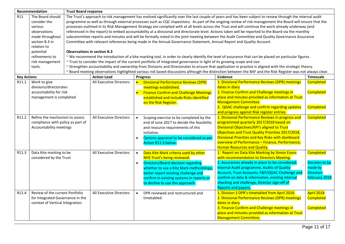|                    | Recommendation                    | <b>Trust Board response</b>                                                                                                                               |                                                                                                                                                          |           |                                                                                                                          |                                                                                                                                                              |                      |  |  |
|--------------------|-----------------------------------|-----------------------------------------------------------------------------------------------------------------------------------------------------------|----------------------------------------------------------------------------------------------------------------------------------------------------------|-----------|--------------------------------------------------------------------------------------------------------------------------|--------------------------------------------------------------------------------------------------------------------------------------------------------------|----------------------|--|--|
| R11                | The Board should                  | The Trust's approach to risk management has evolved significantly over the last couple of years and has been subject to review through the internal audit |                                                                                                                                                          |           |                                                                                                                          |                                                                                                                                                              |                      |  |  |
|                    | consider the                      |                                                                                                                                                           | programme as well as through external processes such as CQC inspections. As part of the ongoing review of risk management the Board will ensure that the |           |                                                                                                                          |                                                                                                                                                              |                      |  |  |
|                    | various                           |                                                                                                                                                           | processes outlined in its Risk Management Strategy are complied with at all levels across the Trust and will continue the work already underway (and     |           |                                                                                                                          |                                                                                                                                                              |                      |  |  |
|                    | observations                      |                                                                                                                                                           | referenced in the report) to embed accountability at a divisional and directorate level. Actions taken will be reported to the Board via the monthly     |           |                                                                                                                          |                                                                                                                                                              |                      |  |  |
|                    | made throughout                   |                                                                                                                                                           |                                                                                                                                                          |           |                                                                                                                          | subcommittee reports and minutes and will be formally noted in the joint meeting between the Audit Committee and Quality Governance Assurance                |                      |  |  |
|                    | section B.3 in                    |                                                                                                                                                           |                                                                                                                                                          |           | Committee with relevant references being made in the Annual Governance Statement, Annual Report and Quality Account      |                                                                                                                                                              |                      |  |  |
|                    | relation to                       |                                                                                                                                                           |                                                                                                                                                          |           |                                                                                                                          |                                                                                                                                                              |                      |  |  |
|                    | potential                         | <b>Observations in section B.3</b>                                                                                                                        |                                                                                                                                                          |           |                                                                                                                          |                                                                                                                                                              |                      |  |  |
|                    | refinements to                    |                                                                                                                                                           |                                                                                                                                                          |           |                                                                                                                          | ~ We recommend the introduction of a kite-marking tool, in order to clearly identify the level of assurance that can be placed on particular figures.        |                      |  |  |
|                    | risk management                   |                                                                                                                                                           |                                                                                                                                                          |           | ~ Trust to consider the impact of the current portfolio of integrated governance in light of its growing scope and size. |                                                                                                                                                              |                      |  |  |
|                    | tools.                            |                                                                                                                                                           |                                                                                                                                                          |           |                                                                                                                          | ~ Strengthen accountability and ownership from Divisions and Directorates to ensure that application in practice is aligned with the strategic theory.       |                      |  |  |
|                    |                                   |                                                                                                                                                           |                                                                                                                                                          |           |                                                                                                                          | ~ Board meeting observations highlighted various risk based discussions although the distinction between the BAF and the Risk Register was not always clear. |                      |  |  |
| <b>Key Actions</b> |                                   |                                                                                                                                                           | <b>Action Lead</b>                                                                                                                                       |           | <b>Progress</b>                                                                                                          | <b>Evidence</b>                                                                                                                                              | Timescale            |  |  |
| R11.1              | Work to give                      |                                                                                                                                                           | <b>All Executive Directors</b>                                                                                                                           |           | <b>Divisional Performance Reviews (DPR)</b>                                                                              | 1. Divisional Performance Reviews (DPR) meetings                                                                                                             | <b>Completed</b>     |  |  |
|                    | divisions/directorates            |                                                                                                                                                           |                                                                                                                                                          |           | meetings established.                                                                                                    | dates in diary                                                                                                                                               |                      |  |  |
|                    | accountability for risk           |                                                                                                                                                           |                                                                                                                                                          | $\bullet$ | <b>Finance Confirm and Challenge Meetings</b>                                                                            | 2. Finance Confirm and Challenge meetings in                                                                                                                 | <b>Completed</b>     |  |  |
|                    | management is completed           |                                                                                                                                                           |                                                                                                                                                          |           | established and include Risks identified                                                                                 | place and minutes provided as information at Trust                                                                                                           |                      |  |  |
|                    |                                   |                                                                                                                                                           |                                                                                                                                                          |           | on the Risk Register.                                                                                                    | <b>Management Committee.</b>                                                                                                                                 |                      |  |  |
|                    |                                   |                                                                                                                                                           |                                                                                                                                                          |           |                                                                                                                          | 3. QGAC challenge and confirm regarding updates                                                                                                              | Completed            |  |  |
|                    |                                   |                                                                                                                                                           |                                                                                                                                                          |           |                                                                                                                          | and progress against Risk register entries.                                                                                                                  |                      |  |  |
| R11.2              | Refine the mechanism to assess    |                                                                                                                                                           | All Executive Directors                                                                                                                                  | $\bullet$ | Scoping exercise to be completed by the                                                                                  | 1. Divisional Performance Reviews in progress and                                                                                                            | <b>Completed</b>     |  |  |
|                    | compliance with policy as part of |                                                                                                                                                           |                                                                                                                                                          |           | end of June 2017 to decide the feasibility                                                                               | programmed quarterly 2017/2018 based on                                                                                                                      |                      |  |  |
|                    | Accountability meetings           |                                                                                                                                                           |                                                                                                                                                          |           | and resource requirements of this                                                                                        | Divisional Objectives/KPI's aligned to Trust                                                                                                                 |                      |  |  |
|                    |                                   |                                                                                                                                                           |                                                                                                                                                          |           | initiative.                                                                                                              | Objectives and Trust Quality Priorities 2017/2018,                                                                                                           |                      |  |  |
|                    |                                   |                                                                                                                                                           |                                                                                                                                                          | $\bullet$ | Options appraisal to be considered as per                                                                                | Divisional Priorities and Key Risks with dashboard                                                                                                           |                      |  |  |
|                    |                                   |                                                                                                                                                           |                                                                                                                                                          |           | Action R11.3 below.                                                                                                      | overview of Performance - Finance, Performance,                                                                                                              |                      |  |  |
|                    |                                   |                                                                                                                                                           |                                                                                                                                                          |           |                                                                                                                          | <b>Human Resources and Quality.</b>                                                                                                                          |                      |  |  |
| R11.3              | Data Kite marking to be           |                                                                                                                                                           | All Executive Directors                                                                                                                                  | $\bullet$ | Data Kite Mark criteria used by other                                                                                    | 1. Report on Data Kite Marking by Simon Evans                                                                                                                | <b>Completed</b>     |  |  |
|                    | considered by the Trust           |                                                                                                                                                           |                                                                                                                                                          |           | <b>NHS Trust's being reviewed.</b>                                                                                       | with recommendation to Directors Meeting.                                                                                                                    |                      |  |  |
|                    |                                   |                                                                                                                                                           |                                                                                                                                                          | $\bullet$ | <b>Directors/Board decision regarding</b>                                                                                | 2. Assurances already in place to be considered:                                                                                                             | Decision to be       |  |  |
|                    |                                   |                                                                                                                                                           |                                                                                                                                                          |           | whether to use a Kite Mark methodology,                                                                                  | Internal Audit programme, Audits of Quality                                                                                                                  | made by              |  |  |
|                    |                                   |                                                                                                                                                           |                                                                                                                                                          |           | better report existing challenge and                                                                                     | Account, Trust Accounts, F&P/QGAC Challenge and                                                                                                              | <b>Directors</b>     |  |  |
|                    |                                   |                                                                                                                                                           |                                                                                                                                                          |           | confirm in existing systems in reports or                                                                                | confirm on data & information, existing internal                                                                                                             | <b>February 2018</b> |  |  |
|                    |                                   |                                                                                                                                                           |                                                                                                                                                          |           | to decline to use this approach.                                                                                         | checking and challenge, Director sign-off of                                                                                                                 |                      |  |  |
|                    |                                   |                                                                                                                                                           |                                                                                                                                                          |           |                                                                                                                          | <b>Reports and papers.</b>                                                                                                                                   |                      |  |  |
| R11.4              | Review of the current Portfolio   |                                                                                                                                                           | <b>All Executive Directors</b>                                                                                                                           | $\bullet$ | DPR reviewed and restructured and                                                                                        | 1. Division 3 DPR's timetabled from April 2018.                                                                                                              | April 2018           |  |  |
|                    | for Integrated Governance in the  |                                                                                                                                                           |                                                                                                                                                          |           | timetabled.                                                                                                              | 2. Divisional Performance Reviews (DPR) meetings                                                                                                             | <b>Completed</b>     |  |  |
|                    | context of Vertical Integration.  |                                                                                                                                                           |                                                                                                                                                          |           |                                                                                                                          | dates in diary                                                                                                                                               |                      |  |  |
|                    |                                   |                                                                                                                                                           |                                                                                                                                                          |           |                                                                                                                          | 3. Finance Confirm and Challenge meetings in                                                                                                                 | <b>Completed</b>     |  |  |
|                    |                                   |                                                                                                                                                           |                                                                                                                                                          |           |                                                                                                                          | place and minutes provided as information at Trust                                                                                                           |                      |  |  |
|                    |                                   |                                                                                                                                                           |                                                                                                                                                          |           |                                                                                                                          | <b>Management Committee.</b>                                                                                                                                 |                      |  |  |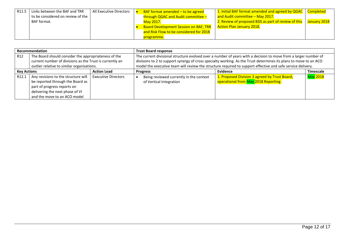| R11.5 | Links between the BAF and TRR     | All Executive Directors | BAF format amended $-$ to be agreed          | 1. Initial BAF format amended and agreed by QGAC   Completed |              |
|-------|-----------------------------------|-------------------------|----------------------------------------------|--------------------------------------------------------------|--------------|
|       | to be considered on review of the |                         | through QGAC and Audit committee -           | and Audit committee - May 2017.                              |              |
|       | BAF format.                       |                         | May 2017.                                    | 2. Review of proposed BDS as part of review of this          | January 2018 |
|       |                                   |                         | <b>Board Development Session on BAF, TRR</b> | <b>Action Plan January 2018.</b>                             |              |
|       |                                   |                         | and Risk Flow to be considered for 2018      |                                                              |              |
|       |                                   |                         | programme.                                   |                                                              |              |

| Recommendation                           |                                                                                                                                                                           |                            | <b>Trust Board response</b>                                                                                                                                                                                                                                                                                                                         |                                                                                       |                 |  |
|------------------------------------------|---------------------------------------------------------------------------------------------------------------------------------------------------------------------------|----------------------------|-----------------------------------------------------------------------------------------------------------------------------------------------------------------------------------------------------------------------------------------------------------------------------------------------------------------------------------------------------|---------------------------------------------------------------------------------------|-----------------|--|
| R <sub>12</sub>                          | The Board should consider the appropriateness of the<br>current number of divisions as the Trust is currently an<br>outlier relative to similar organisations.            |                            | The current divisional structure evolved over a number of years with a decision to move from a larger number of<br>divisions to 2 to support synergy of cross specialty working. As the Trust determines its plans to move to an ACO<br>model the executive team will review the structure required to support effective and safe service delivery. |                                                                                       |                 |  |
| <b>Action Lead</b><br><b>Key Actions</b> |                                                                                                                                                                           | <b>Progress</b>            | Evidence                                                                                                                                                                                                                                                                                                                                            | <b>Timescale</b>                                                                      |                 |  |
| R <sub>12.1</sub>                        | Any revisions to the structure will<br>be reported through the Board as<br>part of progress reports on<br>delivering the next phase of VI<br>and the move to an ACO model | <b>Executive Directors</b> | Being reviewed currently in the context<br>of Vertical Integration                                                                                                                                                                                                                                                                                  | 1. Proposed Division 3 agreed by Trust Board,<br>operational from May 2018 Reporting. | <b>May 2018</b> |  |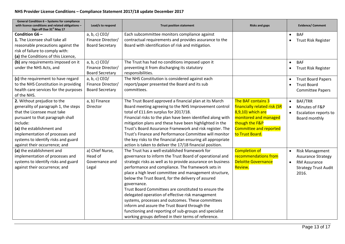| General Condition 6 - Systems for compliance<br>with licence conditions and related obligations -<br>Sign off Due 31 <sup>st</sup> May 17 | Lead/s to respond      | <b>Trust position statement</b>                              | <b>Risks and gaps</b>         | <b>Evidence/ Comment</b>                |
|-------------------------------------------------------------------------------------------------------------------------------------------|------------------------|--------------------------------------------------------------|-------------------------------|-----------------------------------------|
| Condition G6-                                                                                                                             | a, b, c) CEO/          | Each subcommittee monitors compliance against                |                               | <b>BAF</b><br>$\bullet$                 |
| 1. The Licensee shall take all                                                                                                            | Finance Director/      | contractual requirements and provides assurance to the       |                               | Trust Risk Register                     |
| reasonable precautions against the                                                                                                        | <b>Board Secretary</b> | Board with identification of risk and mitigation.            |                               |                                         |
| risk of failure to comply with:                                                                                                           |                        |                                                              |                               |                                         |
| (a) the Conditions of this Licence,                                                                                                       |                        |                                                              |                               |                                         |
| (b) any requirements imposed on it                                                                                                        | a, b, c) CEO/          | The Trust has had no conditions imposed upon it              |                               | <b>BAF</b><br>$\bullet$                 |
| under the NHS Acts, and                                                                                                                   | Finance Director/      | preventing it from discharging its statutory                 |                               | <b>Trust Risk Register</b><br>$\bullet$ |
|                                                                                                                                           | <b>Board Secretary</b> | responsibilities.                                            |                               |                                         |
| (c) the requirement to have regard                                                                                                        | $a, b, c$ ) CEO/       | The NHS Constitution is considered against each              |                               | <b>Trust Board Papers</b>               |
| to the NHS Constitution in providing                                                                                                      | Finance Director/      | report/paper presented the Board and its sub                 |                               | <b>Trust Board</b><br>$\bullet$         |
| health care services for the purposes                                                                                                     | <b>Board Secretary</b> | committees.                                                  |                               | <b>Committee Papers</b>                 |
| of the NHS.                                                                                                                               |                        |                                                              |                               |                                         |
| 2. Without prejudice to the                                                                                                               | a, b) Finance          | The Trust Board approved a financial plan at its March       | The BAF contains 3            | BAF/TRR<br>$\bullet$                    |
| generality of paragraph 1, the steps                                                                                                      | Director               | Board meeting agreeing to the NHS Improvement control        | financially related risk (SR  | Minutes of F&P                          |
| that the Licensee must take                                                                                                               |                        | total of £11.6m surplus for 2017/18.                         | 8,9,10) which are             | <b>Escalation reports to</b>            |
| pursuant to that paragraph shall                                                                                                          |                        | Financial risks to the plan have been identified along with  | monitored and managed         | Board monthly                           |
| include:                                                                                                                                  |                        | mitigation plans and these have been highlighted in the      | though the F&P                |                                         |
| (a) the establishment and                                                                                                                 |                        | Trust's Board Assurance Framework and risk register. The     | <b>Committee and reported</b> |                                         |
| implementation of processes and                                                                                                           |                        | Trust's Finance and Performance Committee will monitor       | to Trust Board.               |                                         |
| systems to identify risks and guard                                                                                                       |                        | the key risks to the financial plan ensuring all appropriate |                               |                                         |
| against their occurrence; and                                                                                                             |                        | action is taken to deliver the 17/18 financial position.     |                               |                                         |
| (a) the establishment and                                                                                                                 | a) Chief Nurse,        | The Trust has a well-established framework for               | <b>Completion of</b>          | <b>Risk Management</b>                  |
| implementation of processes and                                                                                                           | Head of                | governance to inform the Trust Board of operational and      | recommendations from          | <b>Assurance Strategy</b>               |
| systems to identify risks and guard                                                                                                       | Governance and         | strategic risks as well as to provide assurance on business  | <b>Deloitte Governance</b>    | RM Assurance<br>$\bullet$               |
| against their occurrence; and                                                                                                             | Legal                  | performance and compliance. The framework sets in            | Review.                       | <b>Strategy Trust Audit</b>             |
|                                                                                                                                           |                        | place a high level committee and management structure,       |                               | 2016.                                   |
|                                                                                                                                           |                        | below the Trust Board, for the delivery of assured           |                               |                                         |
|                                                                                                                                           |                        | governance.                                                  |                               |                                         |
|                                                                                                                                           |                        | Trust Board Committees are constituted to ensure the         |                               |                                         |
|                                                                                                                                           |                        | delegated operation of effective risk management             |                               |                                         |
|                                                                                                                                           |                        | systems, processes and outcomes. These committees            |                               |                                         |
|                                                                                                                                           |                        | inform and assure the Trust Board through the                |                               |                                         |
|                                                                                                                                           |                        | functioning and reporting of sub-groups and specialist       |                               |                                         |
|                                                                                                                                           |                        | working groups defined in their terms of reference.          |                               |                                         |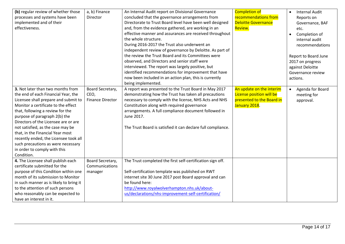| (b) regular review of whether those<br>processes and systems have been<br>implemented and of their<br>effectiveness.                                                                                                                                                                                                                                                                                                                                                       | a, b) Finance<br>Director                           | An Internal Audit report on Divisional Governance<br>concluded that the governance arrangements from<br>Directorate to Trust Board level have been well designed<br>and, from the evidence gathered, are working in an<br>effective manner and assurances are received throughout<br>the whole structure.<br>During 2016-2017 the Trust also underwent an<br>independent review of governance by Deloitte. As part of<br>the review the Trust Board and its Committees were<br>observed, and Directors and senior staff were<br>interviewed. The report was largely positive, but<br>identified recommendations for improvement that have<br>now been included in an action plan, this is currently<br>being implemented. | <b>Completion of</b><br>recommendations from<br><b>Deloitte Governance</b><br>Review.              | <b>Internal Audit</b><br>$\bullet$<br>Reports on<br>Governance, BAF<br>etc.<br>Completion of<br>$\bullet$<br>internal audit<br>recommendations<br>Report to Board June<br>2017 on progress<br>against Deloitte<br>Governance review<br>actions. |
|----------------------------------------------------------------------------------------------------------------------------------------------------------------------------------------------------------------------------------------------------------------------------------------------------------------------------------------------------------------------------------------------------------------------------------------------------------------------------|-----------------------------------------------------|---------------------------------------------------------------------------------------------------------------------------------------------------------------------------------------------------------------------------------------------------------------------------------------------------------------------------------------------------------------------------------------------------------------------------------------------------------------------------------------------------------------------------------------------------------------------------------------------------------------------------------------------------------------------------------------------------------------------------|----------------------------------------------------------------------------------------------------|-------------------------------------------------------------------------------------------------------------------------------------------------------------------------------------------------------------------------------------------------|
| 3. Not later than two months from<br>the end of each Financial Year, the<br>Licensee shall prepare and submit to<br>Monitor a certificate to the effect<br>that, following a review for the<br>purpose of paragraph 2(b) the<br>Directors of the Licensee are or are<br>not satisfied, as the case may be<br>that, in the Financial Year most<br>recently ended, the Licensee took all<br>such precautions as were necessary<br>in order to comply with this<br>Condition. | Board Secretary,<br>CEO,<br><b>Finance Director</b> | A report was presented to the Trust Board in May 2017<br>demonstrating how the Trust has taken all precautions<br>necessary to comply with the license, NHS Acts and NHS<br>Constitution along with required governance<br>arrangements. A full compliance document followed in<br>June 2017.<br>The Trust Board is satisfied it can declare full compliance.                                                                                                                                                                                                                                                                                                                                                             | An update on the interim<br>License position will be<br>presented to the Board in<br>January 2018. | Agenda for Board<br>$\bullet$<br>meeting for<br>approval.                                                                                                                                                                                       |
| 4. The Licensee shall publish each<br>certificate submitted for the<br>purpose of this Condition within one<br>month of its submission to Monitor<br>in such manner as is likely to bring it<br>to the attention of such persons<br>who reasonably can be expected to<br>have an interest in it.                                                                                                                                                                           | Board Secretary,<br>Communications<br>manager       | The Trust completed the first self-certification sign off.<br>Self-certification template was published on RWT<br>internet site 30 June 2017 post Board approval and can<br>be found here:<br>http://www.royalwolverhampton.nhs.uk/about-<br>us/declarations/nhs-improvement-self-certification/                                                                                                                                                                                                                                                                                                                                                                                                                          |                                                                                                    |                                                                                                                                                                                                                                                 |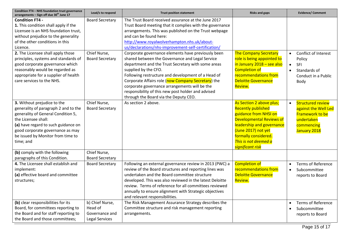| Condition FT4 - NHS foundation trust governance<br>arrangements - Sign off due 30 <sup>th</sup> June 17                                                                                                                                                       | Lead/s to respond                                                     | <b>Trust position statement</b>                                                                                                                                                                                                                                                                                                                                                                                                                 | <b>Risks and gaps</b>                                                                                                                                                                                                                     | <b>Evidence/ Comment</b>                                                                                              |
|---------------------------------------------------------------------------------------------------------------------------------------------------------------------------------------------------------------------------------------------------------------|-----------------------------------------------------------------------|-------------------------------------------------------------------------------------------------------------------------------------------------------------------------------------------------------------------------------------------------------------------------------------------------------------------------------------------------------------------------------------------------------------------------------------------------|-------------------------------------------------------------------------------------------------------------------------------------------------------------------------------------------------------------------------------------------|-----------------------------------------------------------------------------------------------------------------------|
| <b>Condition FT4 -</b><br>1. This condition shall apply if the<br>Licensee is an NHS foundation trust,<br>without prejudice to the generality<br>of the other conditions in this<br>Licence.                                                                  | <b>Board Secretary</b>                                                | The Trust Board received assurance at the June 2017<br>Trust Board meeting that it complies with the governance<br>arrangements. This was published on the Trust webpage<br>and can be found here:<br>http://www.royalwolverhampton.nhs.uk/about-<br>us/declarations/nhs-improvement-self-certification/                                                                                                                                        |                                                                                                                                                                                                                                           |                                                                                                                       |
| 2. The Licensee shall apply those<br>principles, systems and standards of<br>good corporate governance which<br>reasonably would be regarded as<br>appropriate for a supplier of health<br>care services to the NHS.                                          | Chief Nurse,<br><b>Board Secretary</b>                                | Corporate governance elements have previously been<br>shared between the Governance and Legal Service<br>department and the Trust Secretary with some areas<br>supplied by the CFO.<br>Following restructure and development of a Head of<br>Corporate Affairs role (now Company Secretary) the<br>corporate governance arrangements will be the<br>responsibility of this new post holder and advised<br>through the Board via the Deputy CEO. | <b>The Company Secretary</b><br>role is being appointed to<br>in January 2018 - see also<br><b>Completion of</b><br>recommendations from<br><b>Deloitte Governance</b><br>Review.                                                         | Conflict of Interest<br>$\bullet$<br>Policy<br><b>SFI</b><br>$\bullet$<br>Standards of<br>Conduct in a Public<br>Body |
| 3. Without prejudice to the<br>generality of paragraph 2 and to the<br>generality of General Condition 5,<br>the Licensee shall:<br>(a) have regard to such guidance on<br>good corporate governance as may<br>be issued by Monitor from time to<br>time; and | Chief Nurse,<br><b>Board Secretary</b>                                | As section 2 above.                                                                                                                                                                                                                                                                                                                                                                                                                             | As Section 2 above plus;<br><b>Recently published</b><br>guidance from NHSI on<br><b>Developmental Reviews of</b><br>leadership and governance<br>(June 2017) not yet<br>formally considered.<br>This is not deemed a<br>significant risk | <b>Structured review</b><br>against the Well Led<br>Framework to be<br>undertaken<br>commencing<br>January 2018       |
| (b) comply with the following<br>paragraphs of this Condition.                                                                                                                                                                                                | Chief Nurse,<br><b>Board Secretary</b>                                |                                                                                                                                                                                                                                                                                                                                                                                                                                                 |                                                                                                                                                                                                                                           |                                                                                                                       |
| 4. The Licensee shall establish and<br>implement:<br>(a) effective board and committee<br>structures;                                                                                                                                                         | <b>Board Secretary</b>                                                | Following an external governance review in 2013 (PWC) a<br>review of the Board structures and reporting lines was<br>undertaken and the Board committee structure<br>developed. This was also reviewed in the latest Deloitte<br>review. Terms of reference for all committees reviewed<br>annually to ensure alignment with Strategic objectives<br>and relevant responsibilities.                                                             | <b>Completion of</b><br>recommendations from<br><b>Deloitte Governance</b><br>Review.                                                                                                                                                     | <b>Terms of Reference</b><br>Subcommittee<br>$\bullet$<br>reports to Board                                            |
| (b) clear responsibilities for its<br>Board, for committees reporting to<br>the Board and for staff reporting to<br>the Board and those committees;                                                                                                           | b) Chief Nurse,<br>Head of<br>Governance and<br><b>Legal Services</b> | The Risk Management Assurance Strategy describes the<br>Committee structure and risk management reporting<br>arrangements.                                                                                                                                                                                                                                                                                                                      |                                                                                                                                                                                                                                           | Terms of Reference<br>Subcommittee<br>reports to Board                                                                |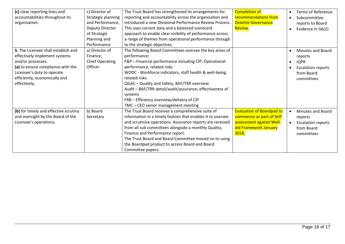| (c) clear reporting lines and         | c) Director of         | The Trust Board has strengthened its arrangements for      | <b>Completion of</b>             | <b>Terms of Reference</b><br>$\bullet$ |
|---------------------------------------|------------------------|------------------------------------------------------------|----------------------------------|----------------------------------------|
| accountabilities throughout its       | Strategic planning     | reporting and accountability across the organisation and   | recommendations from             | Subcommittee<br>$\bullet$              |
| organisation.                         | and Performance,       | introduced a new Divisional Performance Review Process.    | <b>Deloitte Governance</b>       | reports to Board                       |
|                                       | Deputy Director        | This uses current data and a balanced scorecard            | Review.                          | Evidence in G6(2)<br>$\bullet$         |
|                                       | of Strategic           | approach to enable clear visibility of performance across  |                                  |                                        |
|                                       | Planning and           | a range of themes from operational performance through     |                                  |                                        |
|                                       | Performance            | to the strategic objectives.                               |                                  |                                        |
| 5. The Licensee shall establish and   | a) Director of         | The following Board Committees oversee the key areas of    |                                  | Minutes and Board<br>$\bullet$         |
| effectively implement systems         | Finance,               | performance:                                               |                                  | reports                                |
| and/or processes:                     | <b>Chief Operating</b> | F&P - Financial performance including CIP, Operational     |                                  | <b>IQPR</b><br>$\bullet$               |
| (a) to ensure compliance with the     | Officer                | performance, related risks                                 |                                  | <b>Escalation reports</b>              |
| Licensee's duty to operate            |                        | WODC - Workforce indicators, staff health & well-being,    |                                  | from Board                             |
| efficiently, economically and         |                        | related risks                                              |                                  | committees                             |
| effectively;                          |                        | QGAC - Quality and Safety, BAF/TRR overview                |                                  |                                        |
|                                       |                        | Audit - BAF/TRR detail/audit/assurance, effectiveness of   |                                  |                                        |
|                                       |                        | systems                                                    |                                  |                                        |
|                                       |                        | FRB - Efficiency overview/delivery of CIP                  |                                  |                                        |
|                                       |                        | TMC - CEO senior management meeting                        |                                  |                                        |
| (b) for timely and effective scrutiny | b) Board               | The Trust Board receives a comprehensive suite of          | <b>Evaluation of Boardpad to</b> | <b>Minutes and Board</b><br>$\bullet$  |
| and oversight by the Board of the     | Secretary              | information in a timely fashion that enables it to oversee | commence as part of Self-        | reports                                |
| Licensee's operations;                |                        | and scrutinise operations. Assurance reports are received  | assessment against Well-         | <b>Escalation reports</b><br>$\bullet$ |
|                                       |                        | from all sub committees alongside a monthly Quality,       | led Framework January            | from Board                             |
|                                       |                        | Finance and Performance report.                            | 2018.                            | committees                             |
|                                       |                        | The Trust Board and Board Committee moved on to using      |                                  |                                        |
|                                       |                        | the Boardpad product to access Board and Board             |                                  |                                        |
|                                       |                        | Committee papers.                                          |                                  |                                        |